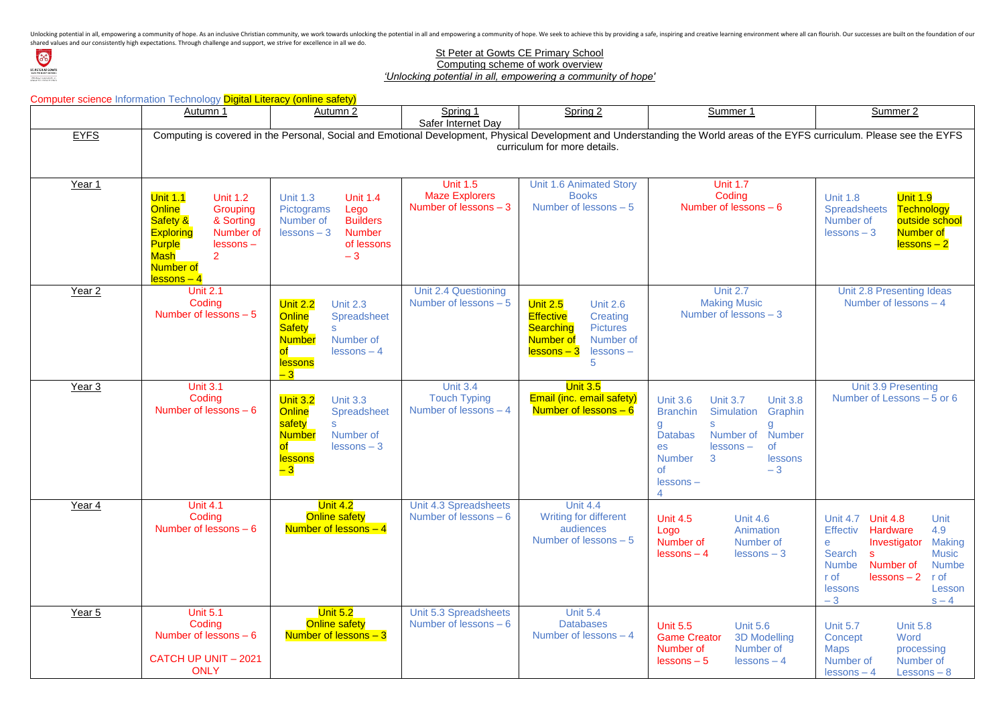Unlocking potential in all, empowering a community of hope. As an inclusive Christian community, we work towards unlocking the potential in all and empowering a community of hope. We seek to achieve this by providing a saf shared values and our consistently high expectations. Through challenge and support, we strive for excellence in all we do.



## **St Peter at Gowts CE Primary School**

Computing scheme of work overview

*'Unlocking potential in all, empowering a community of hope'*

|                   | <b>Computer science Information Technology Digital Literacy (online safety)</b>                                                                                                                             |                                                                                                                                                                           |                                                                    |                                                                                                                                                                                  |                                                                                                                                                                                                                                                                         |                                                                                                                                                                                                                                                                                                     |  |  |  |  |  |  |
|-------------------|-------------------------------------------------------------------------------------------------------------------------------------------------------------------------------------------------------------|---------------------------------------------------------------------------------------------------------------------------------------------------------------------------|--------------------------------------------------------------------|----------------------------------------------------------------------------------------------------------------------------------------------------------------------------------|-------------------------------------------------------------------------------------------------------------------------------------------------------------------------------------------------------------------------------------------------------------------------|-----------------------------------------------------------------------------------------------------------------------------------------------------------------------------------------------------------------------------------------------------------------------------------------------------|--|--|--|--|--|--|
|                   | Autumn 1                                                                                                                                                                                                    | Autumn 2                                                                                                                                                                  | Spring 1<br>Safer Internet Day                                     | Spring 2                                                                                                                                                                         | Summer 1                                                                                                                                                                                                                                                                | Summer 2                                                                                                                                                                                                                                                                                            |  |  |  |  |  |  |
| <b>EYFS</b>       | Computing is covered in the Personal, Social and Emotional Development, Physical Development and Understanding the World areas of the EYFS curriculum. Please see the EYFS<br>curriculum for more details.  |                                                                                                                                                                           |                                                                    |                                                                                                                                                                                  |                                                                                                                                                                                                                                                                         |                                                                                                                                                                                                                                                                                                     |  |  |  |  |  |  |
| Year 1            | <b>Unit 1.1</b><br><b>Unit 1.2</b><br><b>Online</b><br>Grouping<br>Safety &<br>& Sorting<br><b>Exploring</b><br>Number of<br><b>Purple</b><br>$lessons -$<br><b>Mash</b><br><b>Number of</b><br>$lessons-4$ | <b>Unit 1.3</b><br><b>Unit 1.4</b><br>Lego<br>Pictograms<br><b>Builders</b><br>Number of<br><b>Number</b><br>$lessons - 3$<br>of lessons<br>$-3$                          | <b>Unit 1.5</b><br><b>Maze Explorers</b><br>Number of lessons $-3$ | <b>Unit 1.6 Animated Story</b><br><b>Books</b><br>Number of lessons $-5$                                                                                                         | <b>Unit 1.7</b><br>Coding<br>Number of lessons $-6$                                                                                                                                                                                                                     | <b>Unit 1.9</b><br><b>Unit 1.8</b><br><b>Technology</b><br><b>Spreadsheets</b><br>outside school<br>Number of<br><b>Number of</b><br>$lessons - 3$<br>$lessons - 2$                                                                                                                                 |  |  |  |  |  |  |
| Year 2            | <b>Unit 2.1</b><br>Coding<br>Number of lessons $-5$                                                                                                                                                         | <b>Unit 2.2</b><br><b>Unit 2.3</b><br><b>Online</b><br><b>Spreadsheet</b><br><b>Safety</b><br>S.<br><b>Number</b><br>Number of<br>$lessons - 4$<br><b>lessons</b><br>$-3$ | Unit 2.4 Questioning<br>Number of lessons - 5                      | <b>Unit 2.5</b><br><b>Unit 2.6</b><br><b>Effective</b><br>Creating<br><b>Pictures</b><br><b>Searching</b><br>Number of<br>Number of<br><mark>lessons – 3</mark><br>lessons-<br>5 | <b>Unit 2.7</b><br><b>Making Music</b><br>Number of lessons - 3                                                                                                                                                                                                         | Unit 2.8 Presenting Ideas<br>Number of lessons $-4$                                                                                                                                                                                                                                                 |  |  |  |  |  |  |
| Year <sub>3</sub> | <b>Unit 3.1</b><br>Coding<br>Number of lessons $-6$                                                                                                                                                         | <b>Unit 3.2</b><br><b>Unit 3.3</b><br>Online<br><b>Spreadsheet</b><br>safety<br><b>Number</b><br>Number of<br>$lessons - 3$<br><b>lessons</b><br>$-3$                     | <b>Unit 3.4</b><br><b>Touch Typing</b><br>Number of lessons $-4$   | <b>Unit 3.5</b><br><b>Email (inc. email safety)</b><br>Number of lessons $-6$                                                                                                    | <b>Unit 3.6</b><br><b>Unit 3.7</b><br><b>Unit 3.8</b><br><b>Simulation</b><br>Graphin<br><b>Branchin</b><br>g<br>g<br>Number<br><b>Databas</b><br>Number of<br><b>of</b><br>$lessons -$<br>es<br>3<br><b>Number</b><br>lessons<br><b>of</b><br>$-3$<br>$lessons -$<br>4 | Unit 3.9 Presenting<br>Number of Lessons - 5 or 6                                                                                                                                                                                                                                                   |  |  |  |  |  |  |
| Year 4            | <b>Unit 4.1</b><br>Coding<br>Number of lessons $-6$                                                                                                                                                         | <u> Unit 4.2</u><br><b>Online safety</b><br>Number of lessons $-4$                                                                                                        | Unit 4.3 Spreadsheets<br>Number of lessons $-6$                    | <b>Unit 4.4</b><br><b>Writing for different</b><br>audiences<br>Number of lessons - 5                                                                                            | <b>Unit 4.5</b><br><b>Unit 4.6</b><br>Logo<br>Animation<br>Number of<br>Number of<br>$lessons - 4$<br>$lessons - 3$                                                                                                                                                     | <b>Unit 4.8</b><br><b>Unit 4.7</b><br>Unit<br><b>Effectiv</b><br><b>Hardware</b><br>4.9<br><b>Making</b><br>Investigator<br>$\mathbf e$<br>Search<br><b>Music</b><br><b>s</b><br>Number of<br><b>Numbe</b><br><b>Numbe</b><br>$lessons - 2$<br>r of<br>r of<br>Lesson<br>lessons<br>$-3$<br>$s - 4$ |  |  |  |  |  |  |
| Year 5            | <b>Unit 5.1</b><br>Coding<br>Number of lessons $-6$<br><b>CATCH UP UNIT - 2021</b><br><b>ONLY</b>                                                                                                           | <b>Unit 5.2</b><br><b>Online safety</b><br>Number of lessons $-3$                                                                                                         | Unit 5.3 Spreadsheets<br>Number of lessons $-6$                    | <b>Unit 5.4</b><br><b>Databases</b><br>Number of lessons $-4$                                                                                                                    | <b>Unit 5.5</b><br><b>Unit 5.6</b><br><b>Game Creator</b><br><b>3D Modelling</b><br>Number of<br>Number of<br>$lessons - 5$<br>$lessons - 4$                                                                                                                            | <b>Unit 5.7</b><br><b>Unit 5.8</b><br>Word<br>Concept<br><b>Maps</b><br>processing<br>Number of<br>Number of<br>Lessons $-8$<br>$lessons - 4$                                                                                                                                                       |  |  |  |  |  |  |

| <u>ner 1</u>                                                                                                         | Summer 2                                                                                                                                                                                                                                                                                                                                                                                                                                                                                |  |  |  |  |  |  |  |  |
|----------------------------------------------------------------------------------------------------------------------|-----------------------------------------------------------------------------------------------------------------------------------------------------------------------------------------------------------------------------------------------------------------------------------------------------------------------------------------------------------------------------------------------------------------------------------------------------------------------------------------|--|--|--|--|--|--|--|--|
| reas of the EYFS curriculum. Please see the EYFS                                                                     |                                                                                                                                                                                                                                                                                                                                                                                                                                                                                         |  |  |  |  |  |  |  |  |
|                                                                                                                      |                                                                                                                                                                                                                                                                                                                                                                                                                                                                                         |  |  |  |  |  |  |  |  |
| 1.7<br>ing<br>essons — 6                                                                                             | <b>Unit 1.9</b><br><b>Unit 1.8</b><br>Spreadsheets Technology<br>Number of<br>outside school<br>$lessons - 3$<br>Number of<br><u>lessons – 2</u>                                                                                                                                                                                                                                                                                                                                        |  |  |  |  |  |  |  |  |
| 2.7<br><b>Music</b><br>$essons - 3$                                                                                  | Unit 2.8 Presenting Ideas<br>Number of lessons - 4                                                                                                                                                                                                                                                                                                                                                                                                                                      |  |  |  |  |  |  |  |  |
| <b>Unit 3.8</b><br>8.7<br>lation<br>Graphin<br>g<br>er of<br><b>Number</b><br>$ns -$<br><b>of</b><br>lessons<br>$-3$ | Unit 3.9 Presenting<br>Number of Lessons - 5 or 6                                                                                                                                                                                                                                                                                                                                                                                                                                       |  |  |  |  |  |  |  |  |
| <b>Unit 4.6</b><br>Animation<br>Number of<br>$lessons - 3$                                                           | Unit 4.7 <b>Unit 4.8</b><br>Unit<br>Effectiv<br><b>Hardware</b><br>4.9<br><b>Making</b><br>Investigator<br>е<br><b>Music</b><br>Search<br>S<br>Number of<br><b>Numbe</b><br>Numbe<br>r of the state of the state of the state of the state of the state of the state of the state of the state of the state of the state of the state of the state of the state of the state o<br>State of the state of the state of t<br>r of<br>$lessons - 2$<br>lessons<br>Lesson<br>$-3$<br>$s - 4$ |  |  |  |  |  |  |  |  |
| <b>Unit 5.6</b><br><b>3D Modelling</b><br>Number of<br>$lessons - 4$                                                 | <b>Unit 5.7</b><br><b>Unit 5.8</b><br>Word<br>Concept<br><b>Maps</b><br>processing<br>Number of<br>Number of<br>lessons - 4<br>$Lessons - 8$                                                                                                                                                                                                                                                                                                                                            |  |  |  |  |  |  |  |  |